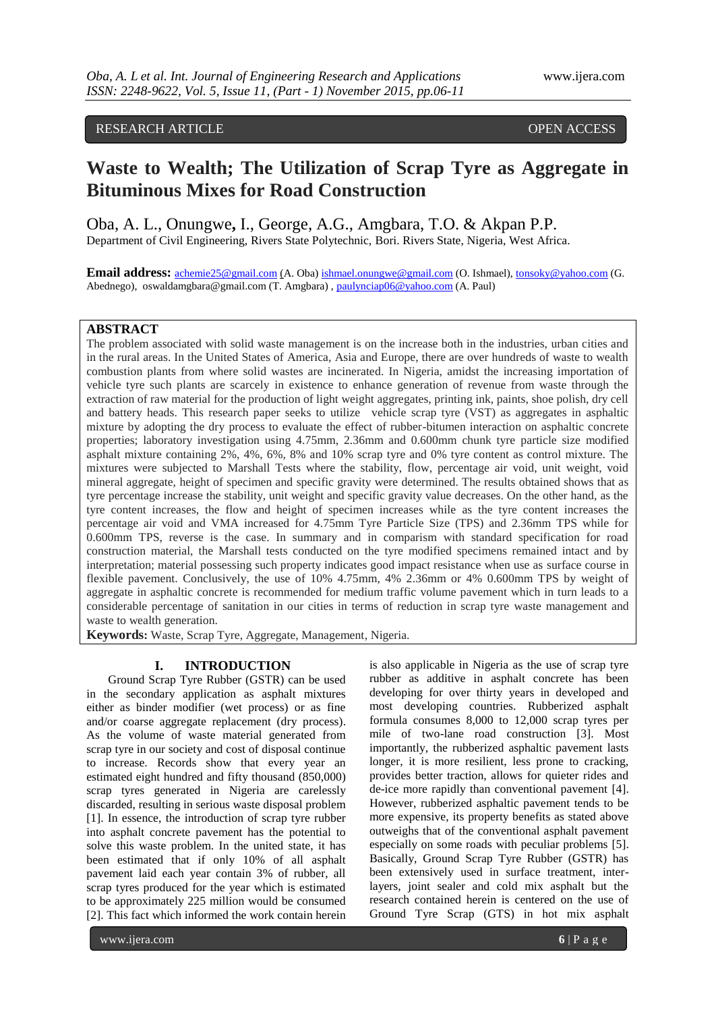# RESEARCH ARTICLE **CONSERVERS** OPEN ACCESS

# **Waste to Wealth; The Utilization of Scrap Tyre as Aggregate in Bituminous Mixes for Road Construction**

Oba, A. L., Onungwe**,** I., George, A.G., Amgbara, T.O. & Akpan P.P. Department of Civil Engineering, Rivers State Polytechnic, Bori. Rivers State, Nigeria, West Africa.

**Email address:** [achemie25@gmail.com](mailto:Achemie25@gmail.com) (A. Oba[\) ishmael.onungwe@gmail.com](mailto:Ishmael.onungwe@gmail.com) (O. Ishmael), [tonsoky@yahoo.com](mailto:tonsoky@yahoo.com) (G. Abednego), oswaldamgbara@gmail.com (T. Amgbara) , [paulynciap06@yahoo.com](mailto:paulynciap06@yahoo.com) (A. Paul)

## **ABSTRACT**

The problem associated with solid waste management is on the increase both in the industries, urban cities and in the rural areas. In the United States of America, Asia and Europe, there are over hundreds of waste to wealth combustion plants from where solid wastes are incinerated. In Nigeria, amidst the increasing importation of vehicle tyre such plants are scarcely in existence to enhance generation of revenue from waste through the extraction of raw material for the production of light weight aggregates, printing ink, paints, shoe polish, dry cell and battery heads. This research paper seeks to utilize vehicle scrap tyre (VST) as aggregates in asphaltic mixture by adopting the dry process to evaluate the effect of rubber-bitumen interaction on asphaltic concrete properties; laboratory investigation using 4.75mm, 2.36mm and 0.600mm chunk tyre particle size modified asphalt mixture containing 2%, 4%, 6%, 8% and 10% scrap tyre and 0% tyre content as control mixture. The mixtures were subjected to Marshall Tests where the stability, flow, percentage air void, unit weight, void mineral aggregate, height of specimen and specific gravity were determined. The results obtained shows that as tyre percentage increase the stability, unit weight and specific gravity value decreases. On the other hand, as the tyre content increases, the flow and height of specimen increases while as the tyre content increases the percentage air void and VMA increased for 4.75mm Tyre Particle Size (TPS) and 2.36mm TPS while for 0.600mm TPS, reverse is the case. In summary and in comparism with standard specification for road construction material, the Marshall tests conducted on the tyre modified specimens remained intact and by interpretation; material possessing such property indicates good impact resistance when use as surface course in flexible pavement. Conclusively, the use of 10% 4.75mm, 4% 2.36mm or 4% 0.600mm TPS by weight of aggregate in asphaltic concrete is recommended for medium traffic volume pavement which in turn leads to a considerable percentage of sanitation in our cities in terms of reduction in scrap tyre waste management and waste to wealth generation.

**Keywords:** Waste, Scrap Tyre, Aggregate, Management, Nigeria.

## **I. INTRODUCTION**

Ground Scrap Tyre Rubber (GSTR) can be used in the secondary application as asphalt mixtures either as binder modifier (wet process) or as fine and/or coarse aggregate replacement (dry process). As the volume of waste material generated from scrap tyre in our society and cost of disposal continue to increase. Records show that every year an estimated eight hundred and fifty thousand (850,000) scrap tyres generated in Nigeria are carelessly discarded, resulting in serious waste disposal problem [1]. In essence, the introduction of scrap tyre rubber into asphalt concrete pavement has the potential to solve this waste problem. In the united state, it has been estimated that if only 10% of all asphalt pavement laid each year contain 3% of rubber, all scrap tyres produced for the year which is estimated to be approximately 225 million would be consumed [2]. This fact which informed the work contain herein

is also applicable in Nigeria as the use of scrap tyre rubber as additive in asphalt concrete has been developing for over thirty years in developed and most developing countries. Rubberized asphalt formula consumes 8,000 to 12,000 scrap tyres per mile of two-lane road construction [3]. Most importantly, the rubberized asphaltic pavement lasts longer, it is more resilient, less prone to cracking, provides better traction, allows for quieter rides and de-ice more rapidly than conventional pavement [4]. However, rubberized asphaltic pavement tends to be more expensive, its property benefits as stated above outweighs that of the conventional asphalt pavement especially on some roads with peculiar problems [5]. Basically, Ground Scrap Tyre Rubber (GSTR) has been extensively used in surface treatment, interlayers, joint sealer and cold mix asphalt but the research contained herein is centered on the use of Ground Tyre Scrap (GTS) in hot mix asphalt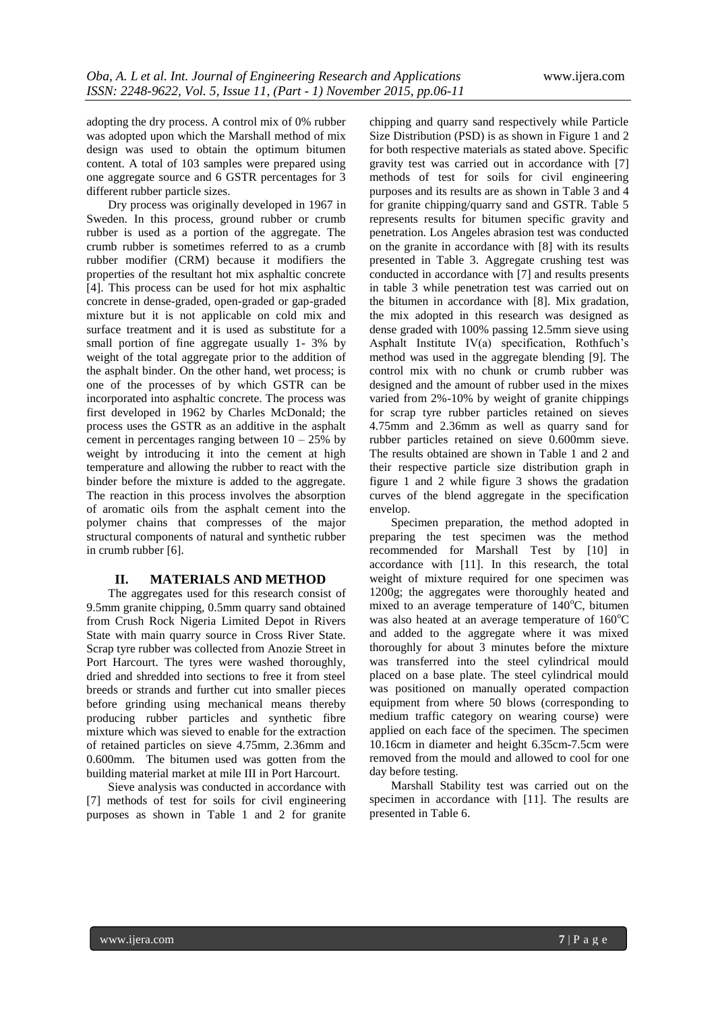adopting the dry process. A control mix of 0% rubber was adopted upon which the Marshall method of mix design was used to obtain the optimum bitumen content. A total of 103 samples were prepared using one aggregate source and 6 GSTR percentages for 3 different rubber particle sizes.

Dry process was originally developed in 1967 in Sweden. In this process, ground rubber or crumb rubber is used as a portion of the aggregate. The crumb rubber is sometimes referred to as a crumb rubber modifier (CRM) because it modifiers the properties of the resultant hot mix asphaltic concrete [4]. This process can be used for hot mix asphaltic concrete in dense-graded, open-graded or gap-graded mixture but it is not applicable on cold mix and surface treatment and it is used as substitute for a small portion of fine aggregate usually 1- 3% by weight of the total aggregate prior to the addition of the asphalt binder. On the other hand, wet process; is one of the processes of by which GSTR can be incorporated into asphaltic concrete. The process was first developed in 1962 by Charles McDonald; the process uses the GSTR as an additive in the asphalt cement in percentages ranging between  $10 - 25\%$  by weight by introducing it into the cement at high temperature and allowing the rubber to react with the binder before the mixture is added to the aggregate. The reaction in this process involves the absorption of aromatic oils from the asphalt cement into the polymer chains that compresses of the major structural components of natural and synthetic rubber in crumb rubber [6].

### **II. MATERIALS AND METHOD**

The aggregates used for this research consist of 9.5mm granite chipping, 0.5mm quarry sand obtained from Crush Rock Nigeria Limited Depot in Rivers State with main quarry source in Cross River State. Scrap tyre rubber was collected from Anozie Street in Port Harcourt. The tyres were washed thoroughly, dried and shredded into sections to free it from steel breeds or strands and further cut into smaller pieces before grinding using mechanical means thereby producing rubber particles and synthetic fibre mixture which was sieved to enable for the extraction of retained particles on sieve 4.75mm, 2.36mm and 0.600mm. The bitumen used was gotten from the building material market at mile III in Port Harcourt.

Sieve analysis was conducted in accordance with [7] methods of test for soils for civil engineering purposes as shown in Table 1 and 2 for granite

chipping and quarry sand respectively while Particle Size Distribution (PSD) is as shown in Figure 1 and 2 for both respective materials as stated above. Specific gravity test was carried out in accordance with [7] methods of test for soils for civil engineering purposes and its results are as shown in Table 3 and 4 for granite chipping/quarry sand and GSTR. Table 5 represents results for bitumen specific gravity and penetration. Los Angeles abrasion test was conducted on the granite in accordance with [8] with its results presented in Table 3. Aggregate crushing test was conducted in accordance with [7] and results presents in table 3 while penetration test was carried out on the bitumen in accordance with [8]. Mix gradation, the mix adopted in this research was designed as dense graded with 100% passing 12.5mm sieve using Asphalt Institute IV(a) specification, Rothfuch's method was used in the aggregate blending [9]. The control mix with no chunk or crumb rubber was designed and the amount of rubber used in the mixes varied from 2%-10% by weight of granite chippings for scrap tyre rubber particles retained on sieves 4.75mm and 2.36mm as well as quarry sand for rubber particles retained on sieve 0.600mm sieve. The results obtained are shown in Table 1 and 2 and their respective particle size distribution graph in figure 1 and 2 while figure 3 shows the gradation curves of the blend aggregate in the specification envelop.

Specimen preparation, the method adopted in preparing the test specimen was the method recommended for Marshall Test by [10] in accordance with [11]. In this research, the total weight of mixture required for one specimen was 1200g; the aggregates were thoroughly heated and mixed to an average temperature of  $140^{\circ}$ C, bitumen was also heated at an average temperature of  $160^{\circ}$ C and added to the aggregate where it was mixed thoroughly for about 3 minutes before the mixture was transferred into the steel cylindrical mould placed on a base plate. The steel cylindrical mould was positioned on manually operated compaction equipment from where 50 blows (corresponding to medium traffic category on wearing course) were applied on each face of the specimen. The specimen 10.16cm in diameter and height 6.35cm-7.5cm were removed from the mould and allowed to cool for one day before testing.

Marshall Stability test was carried out on the specimen in accordance with [11]. The results are presented in Table 6.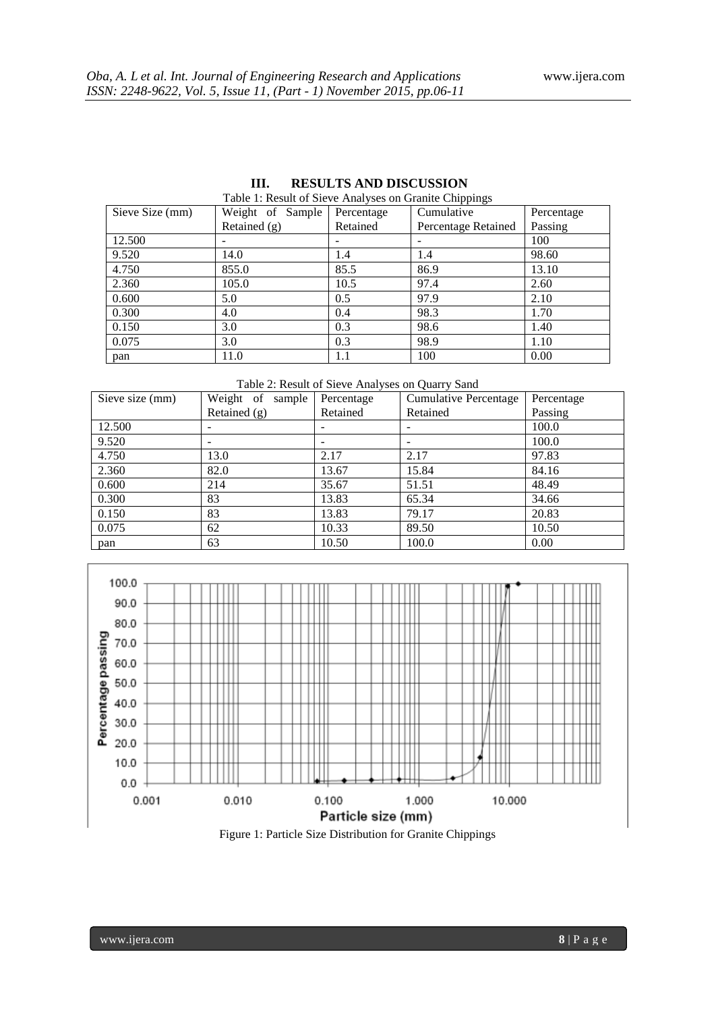| Sieve Size (mm) | Weight of Sample | Percentage               | Cumulative               | Percentage |  |
|-----------------|------------------|--------------------------|--------------------------|------------|--|
|                 | Retained $(g)$   | Retained                 | Percentage Retained      | Passing    |  |
| 12.500          |                  | $\overline{\phantom{a}}$ | $\overline{\phantom{a}}$ | 100        |  |
| 9.520           | 14.0             | 1.4                      | 1.4                      | 98.60      |  |
| 4.750           | 855.0            | 85.5                     | 86.9                     | 13.10      |  |
| 2.360           | 105.0            | 10.5                     | 97.4                     | 2.60       |  |
| 0.600           | 5.0              | 0.5                      | 97.9                     | 2.10       |  |
| 0.300           | 4.0              | 0.4                      | 98.3                     | 1.70       |  |
| 0.150           | 3.0              | 0.3                      | 98.6                     | 1.40       |  |
| 0.075           | 3.0              | 0.3                      | 98.9                     | 1.10       |  |
| pan             | 11.0             | 1.1                      | 100                      | 0.00       |  |

#### **III. RESULTS AND DISCUSSION** Table 1: Result of Sieve Analyses on Granite Chippings

Table 2: Result of Sieve Analyses on Quarry Sand

| Sieve size (mm) | Weight of<br>sample | Percentage      | <b>Cumulative Percentage</b> | Percentage |
|-----------------|---------------------|-----------------|------------------------------|------------|
|                 | Retained $(g)$      | Retained        | Retained                     | Passing    |
| 12.500          |                     |                 |                              | 100.0      |
| 9.520           |                     | $\qquad \qquad$ |                              | 100.0      |
| 4.750           | 13.0                | 2.17            | 2.17                         | 97.83      |
| 2.360           | 82.0                | 13.67           | 15.84                        | 84.16      |
| 0.600           | 214                 | 35.67           | 51.51                        | 48.49      |
| 0.300           | 83                  | 13.83           | 65.34                        | 34.66      |
| 0.150           | 83                  | 13.83           | 79.17                        | 20.83      |
| 0.075           | 62                  | 10.33           | 89.50                        | 10.50      |
| pan             | 63                  | 10.50           | 100.0                        | 0.00       |



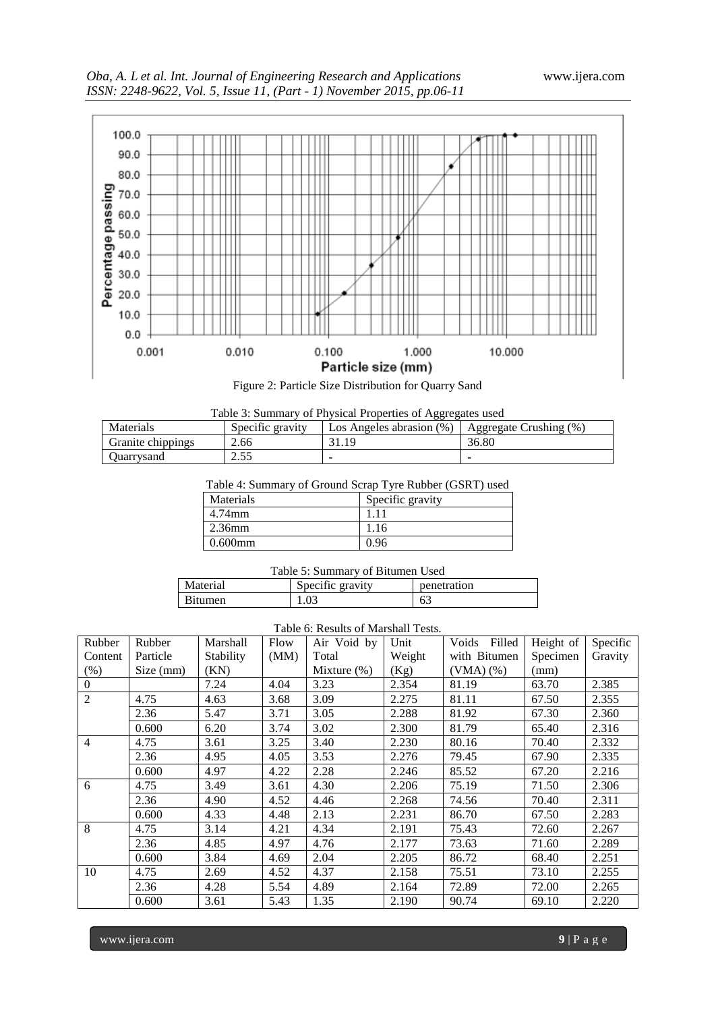

| Table 3: Summary of Physical Properties of Aggregates used |                  |                                                         |       |  |  |
|------------------------------------------------------------|------------------|---------------------------------------------------------|-------|--|--|
| Materials                                                  | Specific gravity | Los Angeles abrasion $(\%)$   Aggregate Crushing $(\%)$ |       |  |  |
| Granite chippings                                          | 2.66             | 31.19                                                   | 36.80 |  |  |
| Ouarrysand                                                 | 2.55             |                                                         |       |  |  |

Table 4: Summary of Ground Scrap Tyre Rubber (GSRT) used

| Materials  | Specific gravity |
|------------|------------------|
| 4.74mm     | 11               |
| $2.36$ mm  | 1.16             |
| $0.600$ mm | 0.96             |

| Table 5: Summary of Bitumen Used |  |  |
|----------------------------------|--|--|
|----------------------------------|--|--|

| Material       | Specific gravity | penetration |
|----------------|------------------|-------------|
| <b>Bitumen</b> | 1.03             | ხა          |

## Table 6: Results of Marshall Tests.

| Rubber         | Rubber    | Marshall  | Flow | Air Void by    | Unit   | Filled<br>Voids | Height of | Specific |
|----------------|-----------|-----------|------|----------------|--------|-----------------|-----------|----------|
| Content        | Particle  | Stability | (MM) | Total          | Weight | with Bitumen    | Specimen  | Gravity  |
| $(\% )$        | Size (mm) | (KN)      |      | Mixture $(\%)$ | (Kg)   | $(VMA)$ $%$     | (mm)      |          |
| $\overline{0}$ |           | 7.24      | 4.04 | 3.23           | 2.354  | 81.19           | 63.70     | 2.385    |
| $\overline{2}$ | 4.75      | 4.63      | 3.68 | 3.09           | 2.275  | 81.11           | 67.50     | 2.355    |
|                | 2.36      | 5.47      | 3.71 | 3.05           | 2.288  | 81.92           | 67.30     | 2.360    |
|                | 0.600     | 6.20      | 3.74 | 3.02           | 2.300  | 81.79           | 65.40     | 2.316    |
| $\overline{4}$ | 4.75      | 3.61      | 3.25 | 3.40           | 2.230  | 80.16           | 70.40     | 2.332    |
|                | 2.36      | 4.95      | 4.05 | 3.53           | 2.276  | 79.45           | 67.90     | 2.335    |
|                | 0.600     | 4.97      | 4.22 | 2.28           | 2.246  | 85.52           | 67.20     | 2.216    |
| 6              | 4.75      | 3.49      | 3.61 | 4.30           | 2.206  | 75.19           | 71.50     | 2.306    |
|                | 2.36      | 4.90      | 4.52 | 4.46           | 2.268  | 74.56           | 70.40     | 2.311    |
|                | 0.600     | 4.33      | 4.48 | 2.13           | 2.231  | 86.70           | 67.50     | 2.283    |
| 8              | 4.75      | 3.14      | 4.21 | 4.34           | 2.191  | 75.43           | 72.60     | 2.267    |
|                | 2.36      | 4.85      | 4.97 | 4.76           | 2.177  | 73.63           | 71.60     | 2.289    |
|                | 0.600     | 3.84      | 4.69 | 2.04           | 2.205  | 86.72           | 68.40     | 2.251    |
| 10             | 4.75      | 2.69      | 4.52 | 4.37           | 2.158  | 75.51           | 73.10     | 2.255    |
|                | 2.36      | 4.28      | 5.54 | 4.89           | 2.164  | 72.89           | 72.00     | 2.265    |
|                | 0.600     | 3.61      | 5.43 | 1.35           | 2.190  | 90.74           | 69.10     | 2.220    |

www.ijera.com **9** | P a g e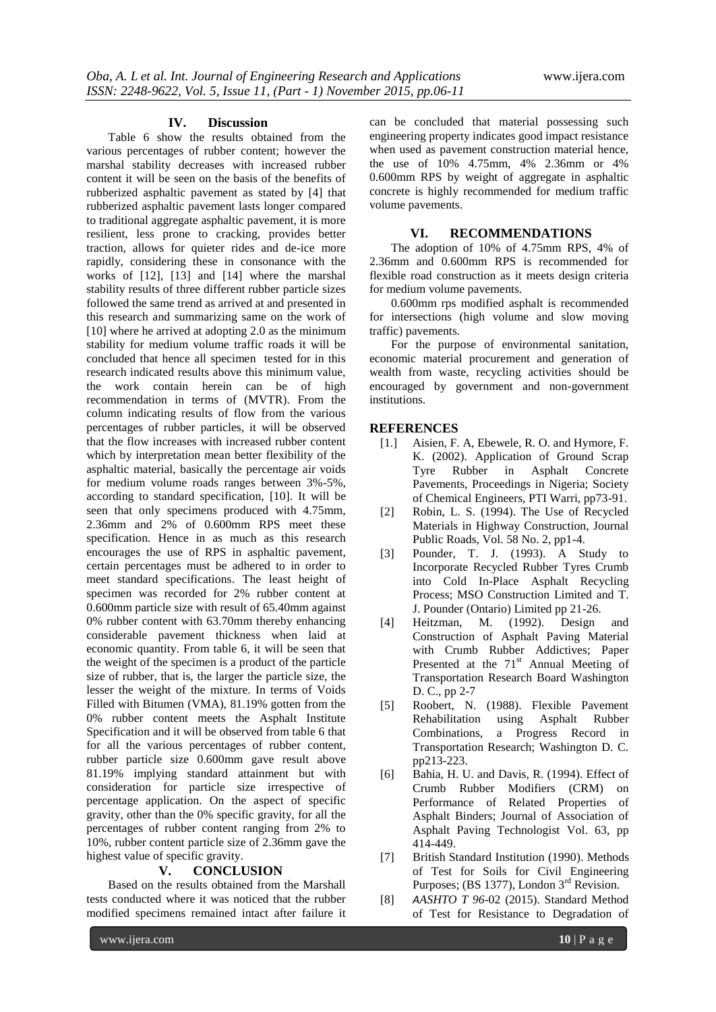### **IV. Discussion**

Table 6 show the results obtained from the various percentages of rubber content; however the marshal stability decreases with increased rubber content it will be seen on the basis of the benefits of rubberized asphaltic pavement as stated by [4] that rubberized asphaltic pavement lasts longer compared to traditional aggregate asphaltic pavement, it is more resilient, less prone to cracking, provides better traction, allows for quieter rides and de-ice more rapidly, considering these in consonance with the works of [12], [13] and [14] where the marshal stability results of three different rubber particle sizes followed the same trend as arrived at and presented in this research and summarizing same on the work of [10] where he arrived at adopting 2.0 as the minimum stability for medium volume traffic roads it will be concluded that hence all specimen tested for in this research indicated results above this minimum value, the work contain herein can be of high recommendation in terms of (MVTR). From the column indicating results of flow from the various percentages of rubber particles, it will be observed that the flow increases with increased rubber content which by interpretation mean better flexibility of the asphaltic material, basically the percentage air voids for medium volume roads ranges between 3%-5%, according to standard specification, [10]. It will be seen that only specimens produced with 4.75mm, 2.36mm and 2% of 0.600mm RPS meet these specification. Hence in as much as this research encourages the use of RPS in asphaltic pavement, certain percentages must be adhered to in order to meet standard specifications. The least height of specimen was recorded for 2% rubber content at 0.600mm particle size with result of 65.40mm against 0% rubber content with 63.70mm thereby enhancing considerable pavement thickness when laid at economic quantity. From table 6, it will be seen that the weight of the specimen is a product of the particle size of rubber, that is, the larger the particle size, the lesser the weight of the mixture. In terms of Voids Filled with Bitumen (VMA), 81.19% gotten from the 0% rubber content meets the Asphalt Institute Specification and it will be observed from table 6 that for all the various percentages of rubber content, rubber particle size 0.600mm gave result above 81.19% implying standard attainment but with consideration for particle size irrespective of percentage application. On the aspect of specific gravity, other than the 0% specific gravity, for all the percentages of rubber content ranging from 2% to 10%, rubber content particle size of 2.36mm gave the highest value of specific gravity.

#### **V. CONCLUSION**

Based on the results obtained from the Marshall tests conducted where it was noticed that the rubber modified specimens remained intact after failure it can be concluded that material possessing such engineering property indicates good impact resistance when used as pavement construction material hence, the use of 10% 4.75mm, 4% 2.36mm or 4% 0.600mm RPS by weight of aggregate in asphaltic concrete is highly recommended for medium traffic volume pavements.

## **VI. RECOMMENDATIONS**

The adoption of 10% of 4.75mm RPS, 4% of 2.36mm and 0.600mm RPS is recommended for flexible road construction as it meets design criteria for medium volume pavements.

0.600mm rps modified asphalt is recommended for intersections (high volume and slow moving traffic) pavements.

For the purpose of environmental sanitation, economic material procurement and generation of wealth from waste, recycling activities should be encouraged by government and non-government institutions.

## **REFERENCES**

- [1.] Aisien, F. A, Ebewele, R. O. and Hymore, F. K. (2002). Application of Ground Scrap Tyre Rubber in Asphalt Concrete Pavements, Proceedings in Nigeria; Society of Chemical Engineers, PTI Warri, pp73-91.
- [2] Robin, L. S. (1994). The Use of Recycled Materials in Highway Construction, Journal Public Roads, Vol. 58 No. 2, pp1-4.
- [3] Pounder, T. J. (1993). A Study to Incorporate Recycled Rubber Tyres Crumb into Cold In-Place Asphalt Recycling Process; MSO Construction Limited and T. J. Pounder (Ontario) Limited pp 21-26.
- [4] Heitzman, M. (1992). Design and Construction of Asphalt Paving Material with Crumb Rubber Addictives; Paper Presented at the  $71<sup>st</sup>$  Annual Meeting of Transportation Research Board Washington D. C., pp 2-7
- [5] Roobert, N. (1988). Flexible Pavement Rehabilitation using Asphalt Rubber Combinations, a Progress Record in Transportation Research; Washington D. C. pp213-223.
- [6] Bahia, H. U. and Davis, R. (1994). Effect of Crumb Rubber Modifiers (CRM) on Performance of Related Properties of Asphalt Binders; Journal of Association of Asphalt Paving Technologist Vol. 63, pp 414-449.
- [7] British Standard Institution (1990). Methods of Test for Soils for Civil Engineering Purposes; (BS 1377), London 3<sup>rd</sup> Revision.
- [8] *AASHTO T 96*-02 (2015). Standard Method of Test for Resistance to Degradation of